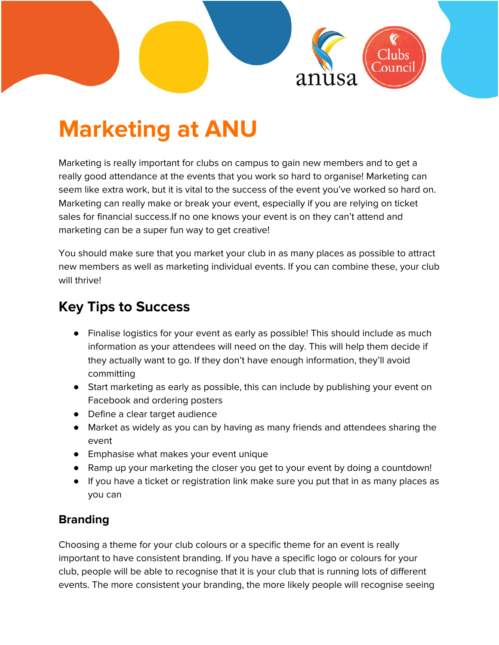

# **Marketing at ANU**

Marketing is really important for clubs on campus to gain new members and to get a really good attendance at the events that you work so hard to organise! Marketing can seem like extra work, but it is vital to the success of the event you've worked so hard on. Marketing can really make or break your event, especially if you are relying on ticket sales for financial success.If no one knows your event is on they can't attend and marketing can be a super fun way to get creative!

You should make sure that you market your club in as many places as possible to attract new members as well as marketing individual events. If you can combine these, your club will thrive!

# **Key Tips to Success**

- Finalise logistics for your event as early as possible! This should include as much information as your attendees will need on the day. This will help them decide if they actually want to go. If they don't have enough information, they'll avoid committing
- Start marketing as early as possible, this can include by publishing your event on Facebook and ordering posters
- Define a clear target audience
- Market as widely as you can by having as many friends and attendees sharing the event
- Emphasise what makes your event unique
- Ramp up your marketing the closer you get to your event by doing a countdown!
- If you have a ticket or registration link make sure you put that in as many places as you can

# **Branding**

Choosing a theme for your club colours or a specific theme for an event is really important to have consistent branding. If you have a specific logo or colours for your club, people will be able to recognise that it is your club that is running lots of different events. The more consistent your branding, the more likely people will recognise seeing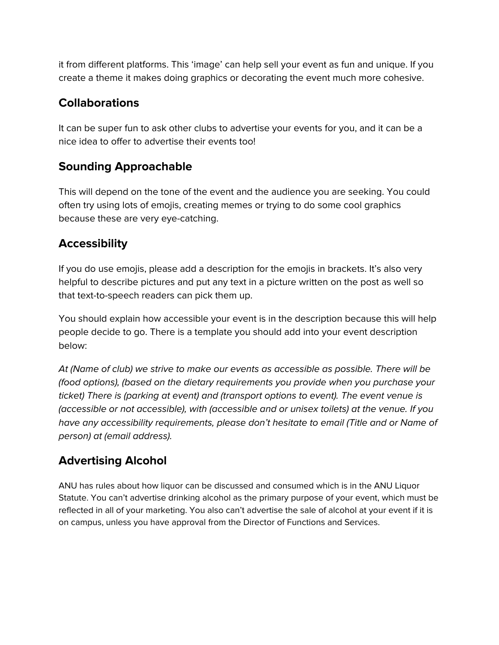it from different platforms. This 'image' can help sell your event as fun and unique. If you create a theme it makes doing graphics or decorating the event much more cohesive.

#### **Collaborations**

It can be super fun to ask other clubs to advertise your events for you, and it can be a nice idea to offer to advertise their events too!

# **Sounding Approachable**

This will depend on the tone of the event and the audience you are seeking. You could often try using lots of emojis, creating memes or trying to do some cool graphics because these are very eye-catching.

#### **Accessibility**

If you do use emojis, please add a description for the emojis in brackets. It's also very helpful to describe pictures and put any text in a picture written on the post as well so that text-to-speech readers can pick them up.

You should explain how accessible your event is in the description because this will help people decide to go. There is a template you should add into your event description below:

At (Name of club) we strive to make our events as accessible as possible. There will be (food options), (based on the dietary requirements you provide when you purchase your ticket) There is (parking at event) and (transport options to event). The event venue is (accessible or not accessible), with (accessible and or unisex toilets) at the venue. If you have any accessibility requirements, please don't hesitate to email (Title and or Name of person) at (email address).

# **Advertising Alcohol**

ANU has rules about how liquor can be discussed and consumed which is in the ANU Liquor Statute. You can't advertise drinking alcohol as the primary purpose of your event, which must be reflected in all of your marketing. You also can't advertise the sale of alcohol at your event if it is on campus, unless you have approval from the Director of Functions and Services.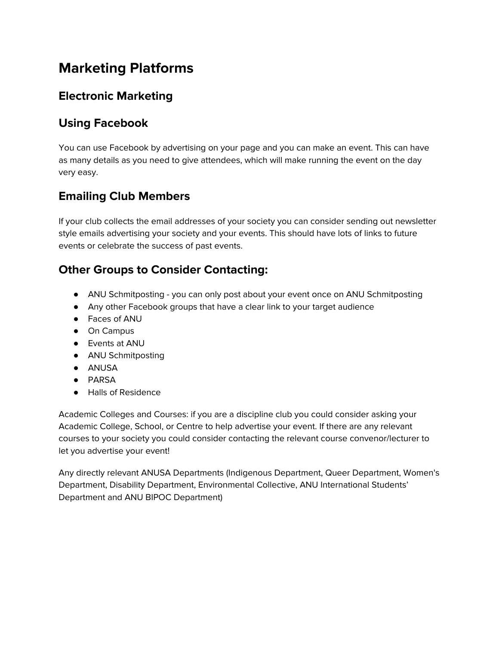# **Marketing Platforms**

#### **Electronic Marketing**

## **Using Facebook**

You can use Facebook by advertising on your page and you can make an event. This can have as many details as you need to give attendees, which will make running the event on the day very easy.

# **Emailing Club Members**

If your club collects the email addresses of your society you can consider sending out newsletter style emails advertising your society and your events. This should have lots of links to future events or celebrate the success of past events.

#### **Other Groups to Consider Contacting:**

- ANU Schmitposting you can only post about your event once on ANU Schmitposting
- Any other Facebook groups that have a clear link to your target audience
- Faces of ANU
- On Campus
- Events at ANU
- ANU Schmitposting
- ANUSA
- PARSA
- Halls of Residence

Academic Colleges and Courses: if you are a discipline club you could consider asking your Academic College, School, or Centre to help advertise your event. If there are any relevant courses to your society you could consider contacting the relevant course convenor/lecturer to let you advertise your event!

Any directly relevant ANUSA Departments (Indigenous Department, Queer Department, Women's Department, Disability Department, Environmental Collective, ANU International Students' Department and ANU BIPOC Department)